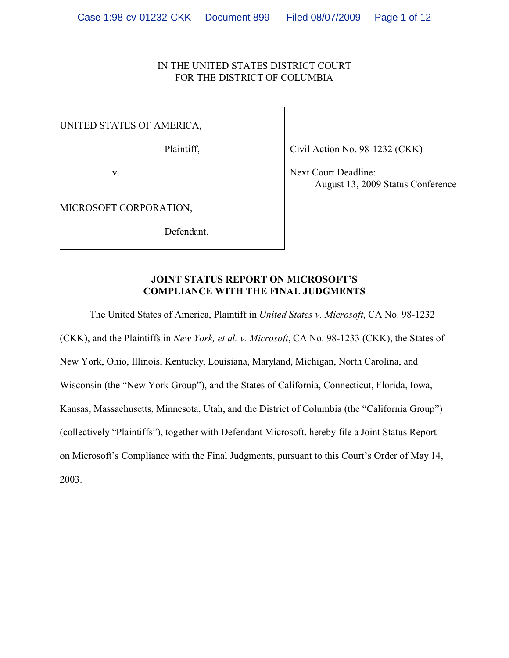# IN THE UNITED STATES DISTRICT COURT FOR THE DISTRICT OF COLUMBIA

UNITED STATES OF AMERICA,

Plaintiff,

v.

Civil Action No. 98-1232 (CKK)

 Next Court Deadline: August 13, 2009 Status Conference

MICROSOFT CORPORATION,

Defendant.

# **JOINT STATUS REPORT ON MICROSOFT'S COMPLIANCE WITH THE FINAL JUDGMENTS**

The United States of America, Plaintiff in *United States v. Microsoft*, CA No. 98-1232

(CKK), and the Plaintiffs in *New York, et al. v. Microsoft*, CA No. 98-1233 (CKK), the States of New York, Ohio, Illinois, Kentucky, Louisiana, Maryland, Michigan, North Carolina, and Wisconsin (the "New York Group"), and the States of California, Connecticut, Florida, Iowa, Kansas, Massachusetts, Minnesota, Utah, and the District of Columbia (the "California Group") (collectively "Plaintiffs"), together with Defendant Microsoft, hereby file a Joint Status Report on Microsoft's Compliance with the Final Judgments, pursuant to this Court's Order of May 14, 2003.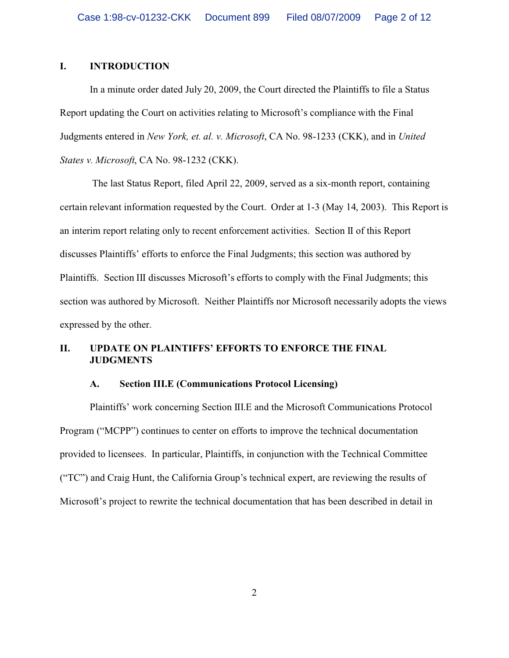# **I. INTRODUCTION**

In a minute order dated July 20, 2009, the Court directed the Plaintiffs to file a Status Report updating the Court on activities relating to Microsoft's compliance with the Final Judgments entered in *New York, et. al. v. Microsoft*, CA No. 98-1233 (CKK), and in *United States v. Microsoft*, CA No. 98-1232 (CKK).

 The last Status Report, filed April 22, 2009, served as a six-month report, containing certain relevant information requested by the Court. Order at 1-3 (May 14, 2003). This Report is an interim report relating only to recent enforcement activities. Section II of this Report discusses Plaintiffs' efforts to enforce the Final Judgments; this section was authored by Plaintiffs. Section III discusses Microsoft's efforts to comply with the Final Judgments; this section was authored by Microsoft. Neither Plaintiffs nor Microsoft necessarily adopts the views expressed by the other.

# **II. UPDATE ON PLAINTIFFS' EFFORTS TO ENFORCE THE FINAL JUDGMENTS**

#### **A. Section III.E (Communications Protocol Licensing)**

Plaintiffs' work concerning Section III.E and the Microsoft Communications Protocol Program ("MCPP") continues to center on efforts to improve the technical documentation provided to licensees. In particular, Plaintiffs, in conjunction with the Technical Committee ("TC") and Craig Hunt, the California Group's technical expert, are reviewing the results of Microsoft's project to rewrite the technical documentation that has been described in detail in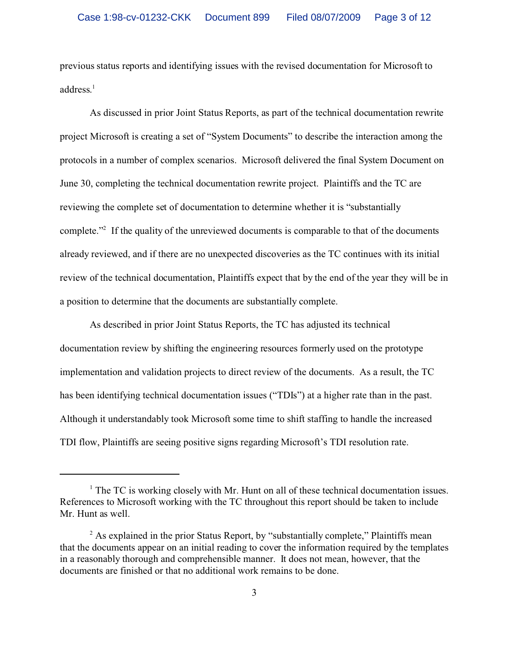previous status reports and identifying issues with the revised documentation for Microsoft to address.<sup>1</sup>

As discussed in prior Joint Status Reports, as part of the technical documentation rewrite project Microsoft is creating a set of "System Documents" to describe the interaction among the protocols in a number of complex scenarios. Microsoft delivered the final System Document on June 30, completing the technical documentation rewrite project. Plaintiffs and the TC are reviewing the complete set of documentation to determine whether it is "substantially complete."<sup>2</sup> If the quality of the unreviewed documents is comparable to that of the documents already reviewed, and if there are no unexpected discoveries as the TC continues with its initial review of the technical documentation, Plaintiffs expect that by the end of the year they will be in a position to determine that the documents are substantially complete.

As described in prior Joint Status Reports, the TC has adjusted its technical documentation review by shifting the engineering resources formerly used on the prototype implementation and validation projects to direct review of the documents. As a result, the TC has been identifying technical documentation issues ("TDIs") at a higher rate than in the past. Although it understandably took Microsoft some time to shift staffing to handle the increased TDI flow, Plaintiffs are seeing positive signs regarding Microsoft's TDI resolution rate.

<sup>&</sup>lt;sup>1</sup> The TC is working closely with Mr. Hunt on all of these technical documentation issues. References to Microsoft working with the TC throughout this report should be taken to include Mr. Hunt as well.

<sup>&</sup>lt;sup>2</sup> As explained in the prior Status Report, by "substantially complete," Plaintiffs mean that the documents appear on an initial reading to cover the information required by the templates in a reasonably thorough and comprehensible manner. It does not mean, however, that the documents are finished or that no additional work remains to be done.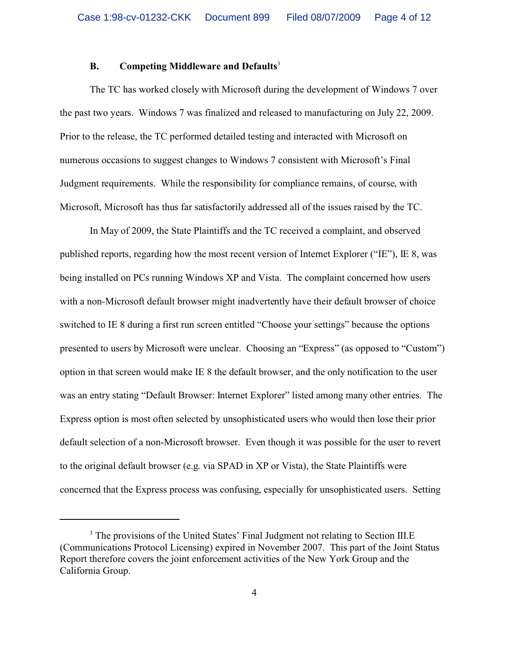## **B. Competing Middleware and Defaults**<sup>3</sup>

The TC has worked closely with Microsoft during the development of Windows 7 over the past two years. Windows 7 was finalized and released to manufacturing on July 22, 2009. Prior to the release, the TC performed detailed testing and interacted with Microsoft on numerous occasions to suggest changes to Windows 7 consistent with Microsoft's Final Judgment requirements. While the responsibility for compliance remains, of course, with Microsoft, Microsoft has thus far satisfactorily addressed all of the issues raised by the TC.

In May of 2009, the State Plaintiffs and the TC received a complaint, and observed published reports, regarding how the most recent version of Internet Explorer ("IE"), IE 8, was being installed on PCs running Windows XP and Vista. The complaint concerned how users with a non-Microsoft default browser might inadvertently have their default browser of choice switched to IE 8 during a first run screen entitled "Choose your settings" because the options presented to users by Microsoft were unclear. Choosing an "Express" (as opposed to "Custom") option in that screen would make IE 8 the default browser, and the only notification to the user was an entry stating "Default Browser: Internet Explorer" listed among many other entries. The Express option is most often selected by unsophisticated users who would then lose their prior default selection of a non-Microsoft browser. Even though it was possible for the user to revert to the original default browser (e.g. via SPAD in XP or Vista), the State Plaintiffs were concerned that the Express process was confusing, especially for unsophisticated users. Setting

<sup>&</sup>lt;sup>3</sup> The provisions of the United States' Final Judgment not relating to Section III.E (Communications Protocol Licensing) expired in November 2007. This part of the Joint Status Report therefore covers the joint enforcement activities of the New York Group and the California Group.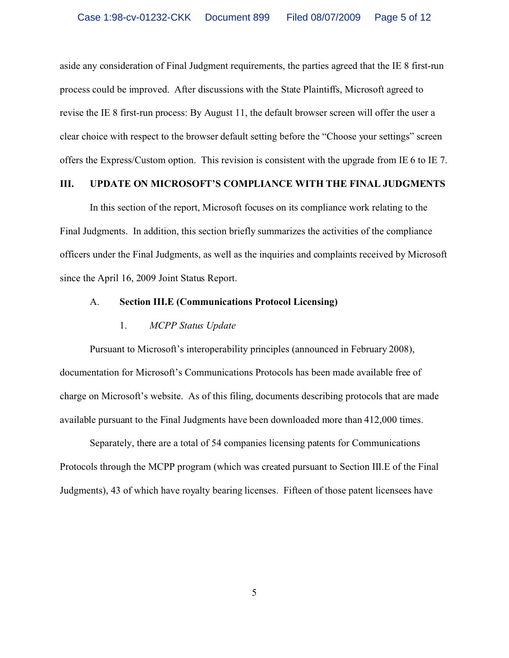aside any consideration of Final Judgment requirements, the parties agreed that the IE 8 first-run process could be improved. After discussions with the State Plaintiffs, Microsoft agreed to revise the IE 8 first-run process: By August 11, the default browser screen will offer the user a clear choice with respect to the browser default setting before the "Choose your settings" screen offers the Express/Custom option. This revision is consistent with the upgrade from IE 6 to IE 7.

# **III. UPDATE ON MICROSOFT'S COMPLIANCE WITH THE FINAL JUDGMENTS**

In this section of the report, Microsoft focuses on its compliance work relating to the Final Judgments. In addition, this section briefly summarizes the activities of the compliance officers under the Final Judgments, as well as the inquiries and complaints received by Microsoft since the April 16, 2009 Joint Status Report.

# A. **Section III.E (Communications Protocol Licensing)**

#### 1. *MCPP Status Update*

Pursuant to Microsoft's interoperability principles (announced in February 2008), documentation for Microsoft's Communications Protocols has been made available free of charge on Microsoft's website. As of this filing, documents describing protocols that are made available pursuant to the Final Judgments have been downloaded more than 412,000 times.

Separately, there are a total of 54 companies licensing patents for Communications Protocols through the MCPP program (which was created pursuant to Section III.E of the Final Judgments), 43 of which have royalty bearing licenses. Fifteen of those patent licensees have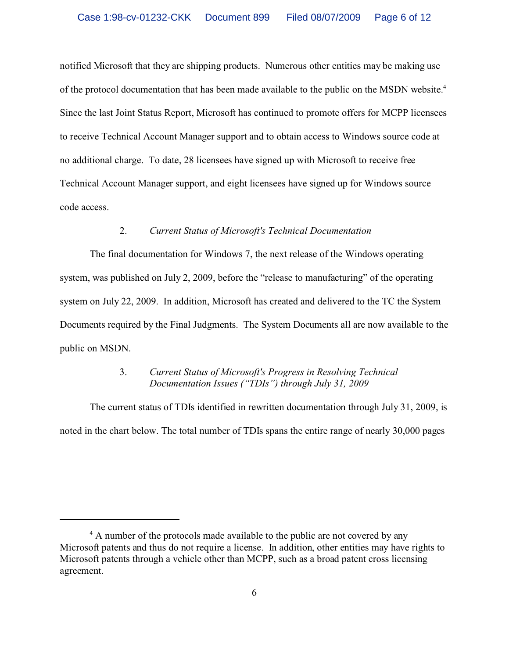notified Microsoft that they are shipping products. Numerous other entities may be making use of the protocol documentation that has been made available to the public on the MSDN website.<sup>4</sup> Since the last Joint Status Report, Microsoft has continued to promote offers for MCPP licensees to receive Technical Account Manager support and to obtain access to Windows source code at no additional charge. To date, 28 licensees have signed up with Microsoft to receive free Technical Account Manager support, and eight licensees have signed up for Windows source code access.

### 2. *Current Status of Microsoft's Technical Documentation*

The final documentation for Windows 7, the next release of the Windows operating system, was published on July 2, 2009, before the "release to manufacturing" of the operating system on July 22, 2009. In addition, Microsoft has created and delivered to the TC the System Documents required by the Final Judgments. The System Documents all are now available to the public on MSDN.

# 3. *Current Status of Microsoft's Progress in Resolving Technical Documentation Issues ("TDIs") through July 31, 2009*

The current status of TDIs identified in rewritten documentation through July 31, 2009, is noted in the chart below. The total number of TDIs spans the entire range of nearly 30,000 pages

<sup>&</sup>lt;sup>4</sup> A number of the protocols made available to the public are not covered by any Microsoft patents and thus do not require a license. In addition, other entities may have rights to Microsoft patents through a vehicle other than MCPP, such as a broad patent cross licensing agreement.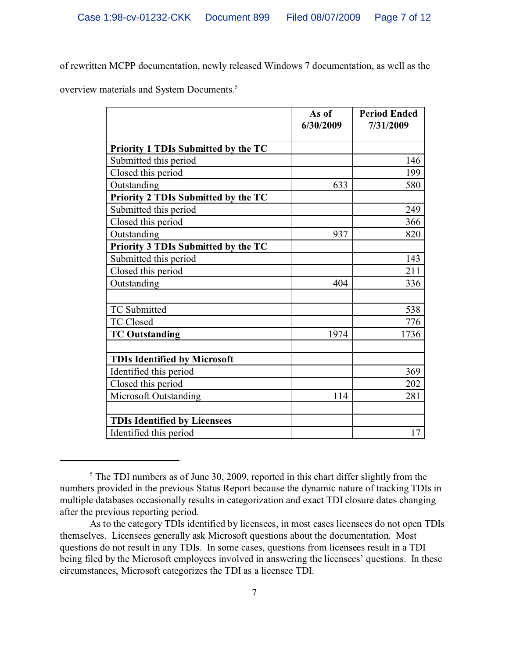of rewritten MCPP documentation, newly released Windows 7 documentation, as well as the

overview materials and System Documents.<sup>5</sup>

|                                     | As of<br>6/30/2009 | <b>Period Ended</b><br>7/31/2009 |
|-------------------------------------|--------------------|----------------------------------|
| Priority 1 TDIs Submitted by the TC |                    |                                  |
| Submitted this period               |                    | 146                              |
| Closed this period                  |                    | 199                              |
| Outstanding                         | 633                | 580                              |
| Priority 2 TDIs Submitted by the TC |                    |                                  |
| Submitted this period               |                    | 249                              |
| Closed this period                  |                    | 366                              |
| Outstanding                         | 937                | 820                              |
| Priority 3 TDIs Submitted by the TC |                    |                                  |
| Submitted this period               |                    | 143                              |
| Closed this period                  |                    | 211                              |
| Outstanding                         | 404                | 336                              |
|                                     |                    |                                  |
| TC Submitted                        |                    | 538                              |
| <b>TC Closed</b>                    |                    | 776                              |
| <b>TC Outstanding</b>               | 1974               | 1736                             |
|                                     |                    |                                  |
| <b>TDIs Identified by Microsoft</b> |                    |                                  |
| Identified this period              |                    | 369                              |
| Closed this period                  |                    | 202                              |
| <b>Microsoft Outstanding</b>        | 114                | 281                              |
|                                     |                    |                                  |
| <b>TDIs Identified by Licensees</b> |                    |                                  |
| Identified this period              |                    | 17                               |

<sup>&</sup>lt;sup>5</sup> The TDI numbers as of June 30, 2009, reported in this chart differ slightly from the numbers provided in the previous Status Report because the dynamic nature of tracking TDIs in multiple databases occasionally results in categorization and exact TDI closure dates changing after the previous reporting period.

As to the category TDIs identified by licensees, in most cases licensees do not open TDIs themselves. Licensees generally ask Microsoft questions about the documentation. Most questions do not result in any TDIs. In some cases, questions from licensees result in a TDI being filed by the Microsoft employees involved in answering the licensees' questions. In these circumstances, Microsoft categorizes the TDI as a licensee TDI.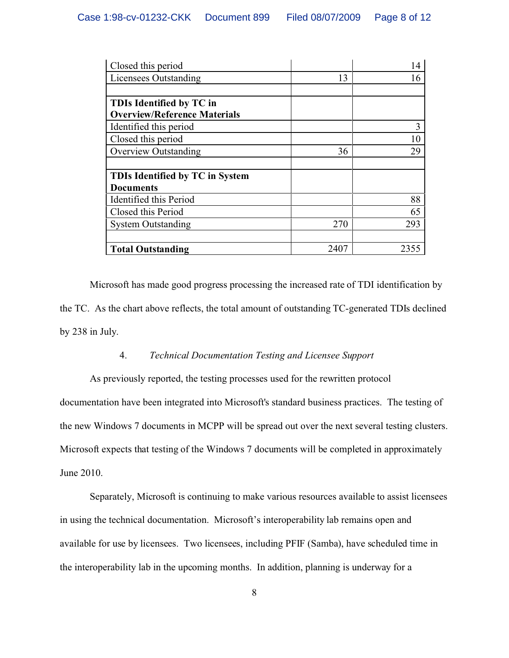| Closed this period                     |      | 14   |
|----------------------------------------|------|------|
| Licensees Outstanding                  | 13   | 16   |
|                                        |      |      |
| TDIs Identified by TC in               |      |      |
| <b>Overview/Reference Materials</b>    |      |      |
| Identified this period                 |      | 3    |
| Closed this period                     |      | 10   |
| <b>Overview Outstanding</b>            | 36   | 29   |
|                                        |      |      |
| <b>TDIs Identified by TC in System</b> |      |      |
| <b>Documents</b>                       |      |      |
| Identified this Period                 |      | 88   |
| Closed this Period                     |      | 65   |
| <b>System Outstanding</b>              | 270  | 293  |
|                                        |      |      |
| <b>Total Outstanding</b>               | 2407 | 2355 |

Microsoft has made good progress processing the increased rate of TDI identification by the TC. As the chart above reflects, the total amount of outstanding TC-generated TDIs declined by 238 in July.

## 4. *Technical Documentation Testing and Licensee Support*

As previously reported, the testing processes used for the rewritten protocol documentation have been integrated into Microsoft's standard business practices. The testing of the new Windows 7 documents in MCPP will be spread out over the next several testing clusters. Microsoft expects that testing of the Windows 7 documents will be completed in approximately June 2010.

Separately, Microsoft is continuing to make various resources available to assist licensees in using the technical documentation. Microsoft's interoperability lab remains open and available for use by licensees. Two licensees, including PFIF (Samba), have scheduled time in the interoperability lab in the upcoming months. In addition, planning is underway for a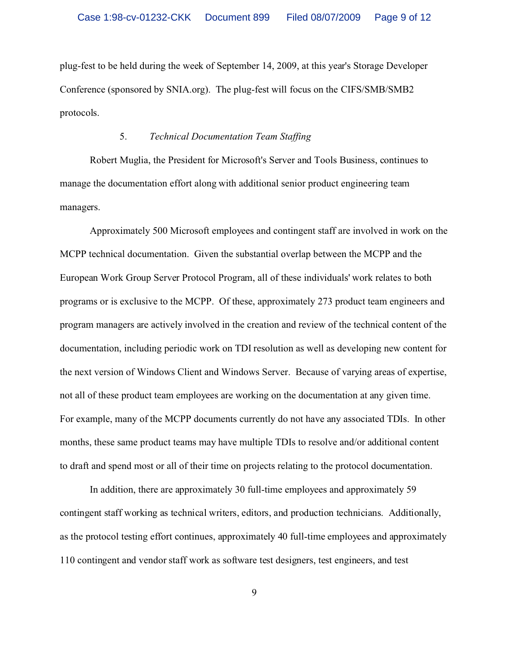plug-fest to be held during the week of September 14, 2009, at this year's Storage Developer Conference (sponsored by SNIA.org). The plug-fest will focus on the CIFS/SMB/SMB2 protocols.

#### 5. *Technical Documentation Team Staffing*

Robert Muglia, the President for Microsoft's Server and Tools Business, continues to manage the documentation effort along with additional senior product engineering team managers.

Approximately 500 Microsoft employees and contingent staff are involved in work on the MCPP technical documentation. Given the substantial overlap between the MCPP and the European Work Group Server Protocol Program, all of these individuals' work relates to both programs or is exclusive to the MCPP. Of these, approximately 273 product team engineers and program managers are actively involved in the creation and review of the technical content of the documentation, including periodic work on TDI resolution as well as developing new content for the next version of Windows Client and Windows Server. Because of varying areas of expertise, not all of these product team employees are working on the documentation at any given time. For example, many of the MCPP documents currently do not have any associated TDIs. In other months, these same product teams may have multiple TDIs to resolve and/or additional content to draft and spend most or all of their time on projects relating to the protocol documentation.

In addition, there are approximately 30 full-time employees and approximately 59 contingent staff working as technical writers, editors, and production technicians. Additionally, as the protocol testing effort continues, approximately 40 full-time employees and approximately 110 contingent and vendor staff work as software test designers, test engineers, and test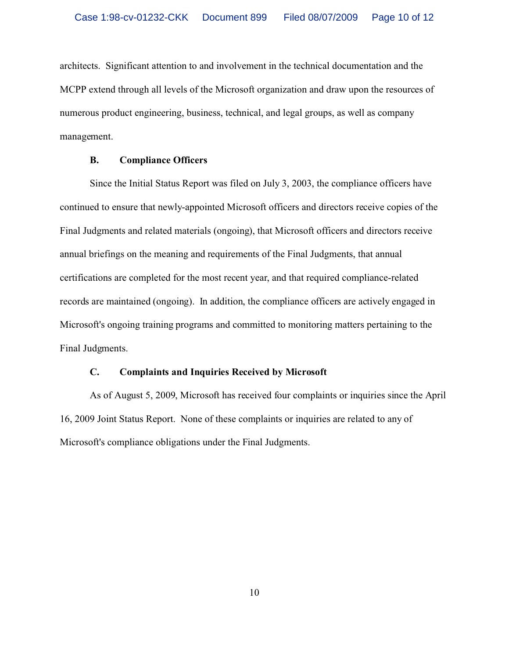architects. Significant attention to and involvement in the technical documentation and the MCPP extend through all levels of the Microsoft organization and draw upon the resources of numerous product engineering, business, technical, and legal groups, as well as company management.

#### **B. Compliance Officers**

Since the Initial Status Report was filed on July 3, 2003, the compliance officers have continued to ensure that newly-appointed Microsoft officers and directors receive copies of the Final Judgments and related materials (ongoing), that Microsoft officers and directors receive annual briefings on the meaning and requirements of the Final Judgments, that annual certifications are completed for the most recent year, and that required compliance-related records are maintained (ongoing). In addition, the compliance officers are actively engaged in Microsoft's ongoing training programs and committed to monitoring matters pertaining to the Final Judgments.

# **C. Complaints and Inquiries Received by Microsoft**

As of August 5, 2009, Microsoft has received four complaints or inquiries since the April 16, 2009 Joint Status Report. None of these complaints or inquiries are related to any of Microsoft's compliance obligations under the Final Judgments.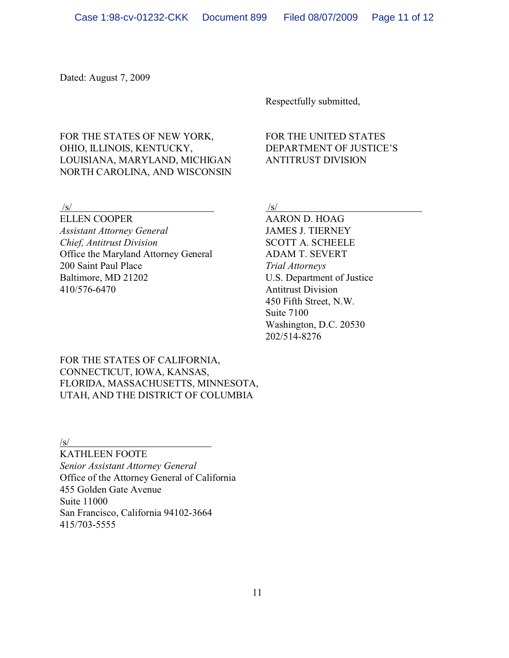Dated: August 7, 2009

Respectfully submitted,

# FOR THE STATES OF NEW YORK, FOR THE UNITED STATES OHIO, ILLINOIS, KENTUCKY, DEPARTMENT OF JUSTICE'S LOUISIANA, MARYLAND, MICHIGAN ANTITRUST DIVISION NORTH CAROLINA, AND WISCONSIN

ELLEN COOPER AARON D. HOAG *Assistant Attorney General* JAMES J. TIERNEY *Chief, Antitrust Division* SCOTT A. SCHEELE Office the Maryland Attorney General ADAM T. SEVERT 200 Saint Paul Place *Trial Attorneys* Baltimore, MD 21202 U.S. Department of Justice 410/576-6470 Antitrust Division

# $\sqrt{s}/\sqrt{s}$

450 Fifth Street, N.W. Suite 7100 Washington, D.C. 20530 202/514-8276

FOR THE STATES OF CALIFORNIA, CONNECTICUT, IOWA, KANSAS, FLORIDA, MASSACHUSETTS, MINNESOTA, UTAH, AND THE DISTRICT OF COLUMBIA

/s/

KATHLEEN FOOTE *Senior Assistant Attorney General* Office of the Attorney General of California 455 Golden Gate Avenue Suite 11000 San Francisco, California 94102-3664 415/703-5555